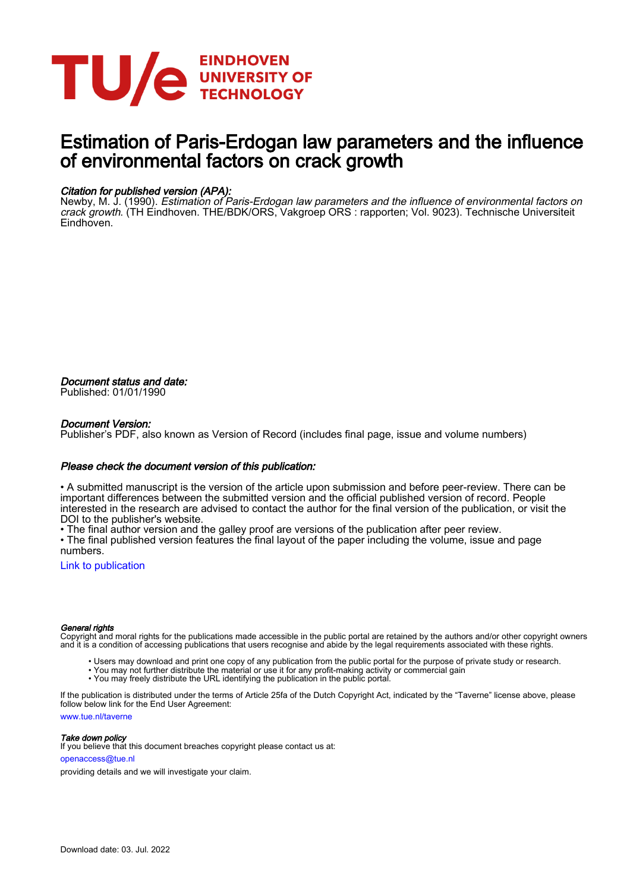

# Estimation of Paris-Erdogan law parameters and the influence of environmental factors on crack growth

#### Citation for published version (APA):

Newby, M. J. (1990). Estimation of Paris-Erdogan law parameters and the influence of environmental factors on crack growth. (TH Eindhoven. THE/BDK/ORS, Vakgroep ORS : rapporten; Vol. 9023). Technische Universiteit Eindhoven.

Document status and date: Published: 01/01/1990

#### Document Version:

Publisher's PDF, also known as Version of Record (includes final page, issue and volume numbers)

#### Please check the document version of this publication:

• A submitted manuscript is the version of the article upon submission and before peer-review. There can be important differences between the submitted version and the official published version of record. People interested in the research are advised to contact the author for the final version of the publication, or visit the DOI to the publisher's website.

• The final author version and the galley proof are versions of the publication after peer review.

• The final published version features the final layout of the paper including the volume, issue and page numbers.

[Link to publication](https://research.tue.nl/en/publications/f395c33e-c0f6-4b39-a8ff-595a194d8acb)

#### General rights

Copyright and moral rights for the publications made accessible in the public portal are retained by the authors and/or other copyright owners and it is a condition of accessing publications that users recognise and abide by the legal requirements associated with these rights.

- Users may download and print one copy of any publication from the public portal for the purpose of private study or research.
- You may not further distribute the material or use it for any profit-making activity or commercial gain
- You may freely distribute the URL identifying the publication in the public portal.

If the publication is distributed under the terms of Article 25fa of the Dutch Copyright Act, indicated by the "Taverne" license above, please follow below link for the End User Agreement:

www.tue.nl/taverne

**Take down policy**<br>If you believe that this document breaches copyright please contact us at:

openaccess@tue.nl

providing details and we will investigate your claim.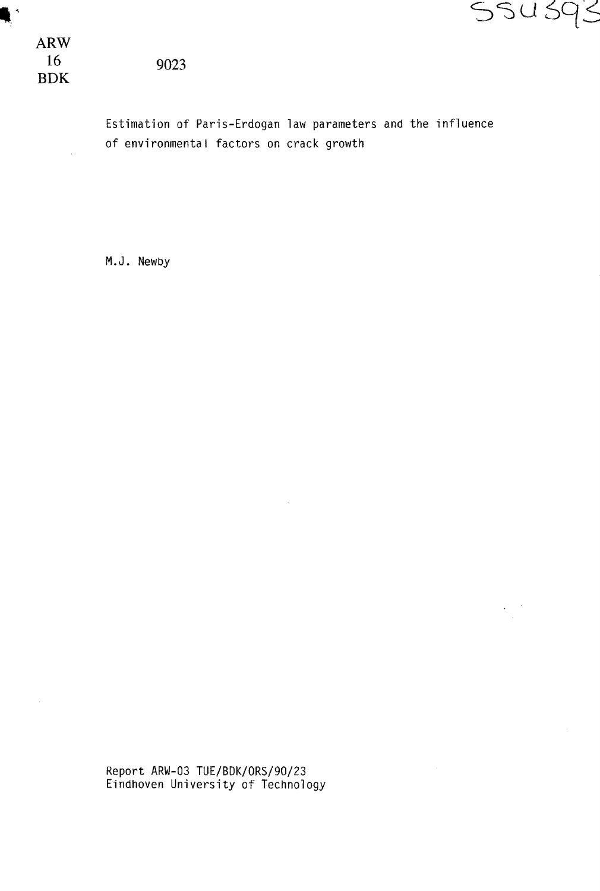

ARW 16 BDK

Estimation of Paris-Erdogan law parameters and the influence of environmental factors on crack growth

M.J. Newby

Report ARW-03 TUE/BDK/ORS/90/23 Eindhoven University of Technology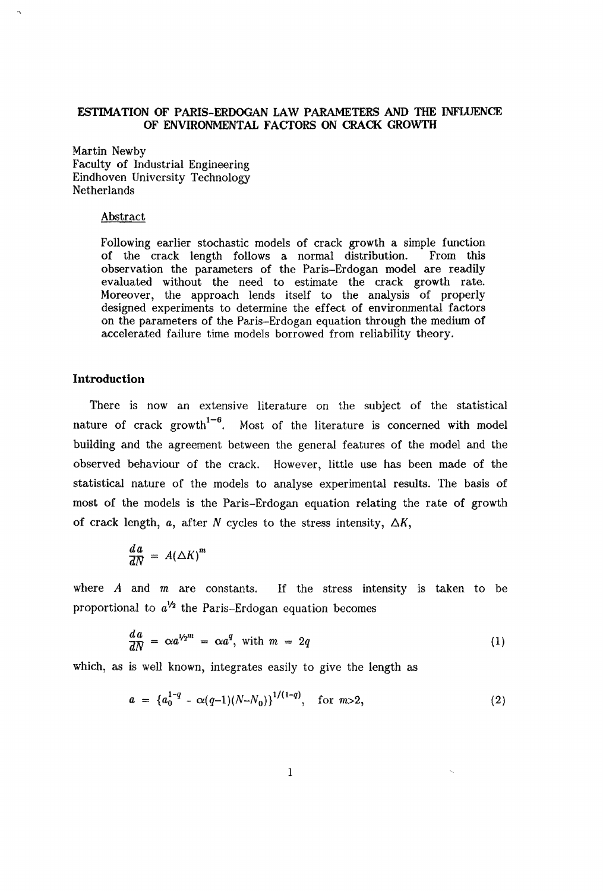# **ESTIMATION OF PARIS-ERDOGAN** LAW **PARAMETERS AND THE INFLUENCE OF ENVIRONMENTAL FACTORS ON CRACK GROWTH**

Martin Newby Faculty of Industrial Engineering Eindhoven University Technology Netherlands

#### Abstract

Following earlier stochastic models of crack growth a simple function of the crack length follows a normal distribution. From this observation the parameters of the Paris-Erdogan model are readily evaluated without the need to estimate the crack growth rate. Moreover, the approach lends itself to the analysis of properly designed experiments to determine the effect of environmental factors on the parameters of the Paris-Erdogan equation through the medium of accelerated failure time models borrowed from reliability theory.

# **Introduction**

There is now an extensive literature on the subject of the statistical nature of crack growth<sup> $1-6$ </sup>. Most of the literature is concerned with model building and the agreement between the general features of the model and the observed behaviour of the crack. However, little use has been made of the statistical nature of the models to analyse experimental results. The basis of most of the models is the Paris-Erdogan equation relating the rate of growth of crack length,  $a$ , after N cycles to the stress intensity,  $\Delta K$ ,

$$
\frac{d\,a}{dN}\,=\,A\left(\triangle K\right)^m
$$

where *A* and *m* are constants. If the stress intensity is taken to be proportional to  $a^{1/2}$  the Paris-Erdogan equation becomes

$$
\frac{da}{dN} = \alpha a^{1/2^m} = \alpha a^q, \text{ with } m = 2q \tag{1}
$$

which, as is well known, integrates easily to give the length as

$$
a = \{a_0^{1-q} - \alpha(q-1)(N-N_0)\}^{1/(1-q)}, \text{ for } m > 2,
$$
 (2)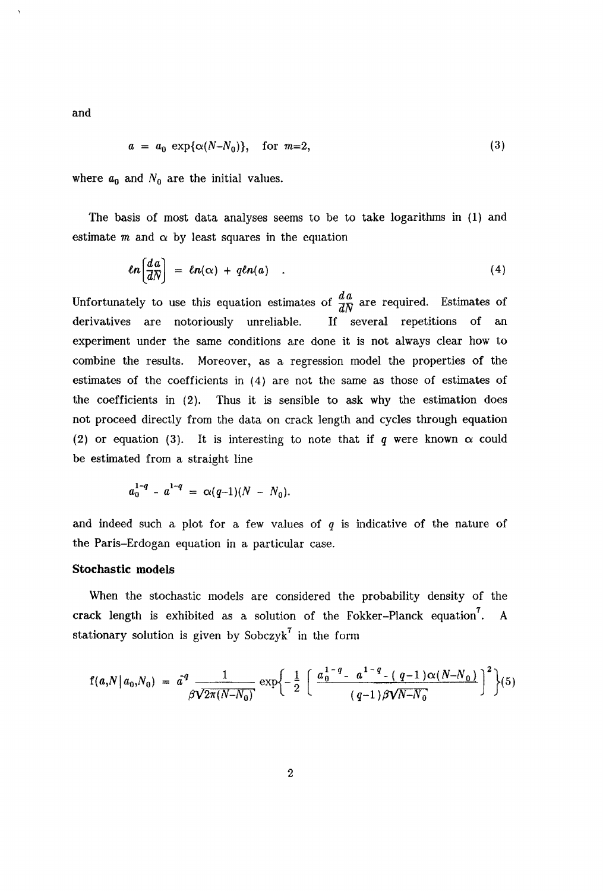and

$$
a = a_0 \exp{\alpha(N - N_0)}, \quad \text{for } m = 2,
$$
\n
$$
(3)
$$

where  $a_0$  and  $N_0$  are the initial values.

The basis of most data analyses seems to be to take logarithms in (1) and estimate  $m$  and  $\alpha$  by least squares in the equation

$$
ln\left(\frac{da}{dN}\right) = ln(\alpha) + qln(a) \quad . \tag{4}
$$

Unfortunately to use this equation estimates of  $\frac{da}{dN}$  are required. Estimates of derivatives are notoriously unreliable. If several repetitions of an experiment under the same conditions are done it is not always clear how to combine the results. Moreover, as a regression model the properties of the estimates of the coefficients in (4) are not the same as those of estimates of the coefficients in (2). Thus it is sensible to ask why the estimation does not proceed directly from the data on crack length and cycles through equation (2) or equation (3). It is interesting to note that if  $q$  were known  $\alpha$  could be estimated from a straight line

$$
a_0^{1-q} - a^{1-q} = \alpha(q-1)(N - N_0).
$$

and indeed such a plot for a few values of *q* is indicative of the nature of the Paris-Erdogan equation in a particular case.

## **Stochastic** models

When the stochastic models are considered the probability density of the crack length is exhibited as a solution of the Fokker-Planck equation<sup>7</sup>. A stationary solution is given by Sobczy $k^7$  in the form

$$
f(a,N|a_0,N_0) = a^q \frac{1}{\beta \sqrt{2\pi (N-N_0)}} \exp \left\{-\frac{1}{2} \left[ \frac{a_0^{1-q} - a^{1-q} - (q-1)\alpha (N-N_0)}{(q-1)\beta \sqrt{N-N_0}} \right]^2 \right\} (5)
$$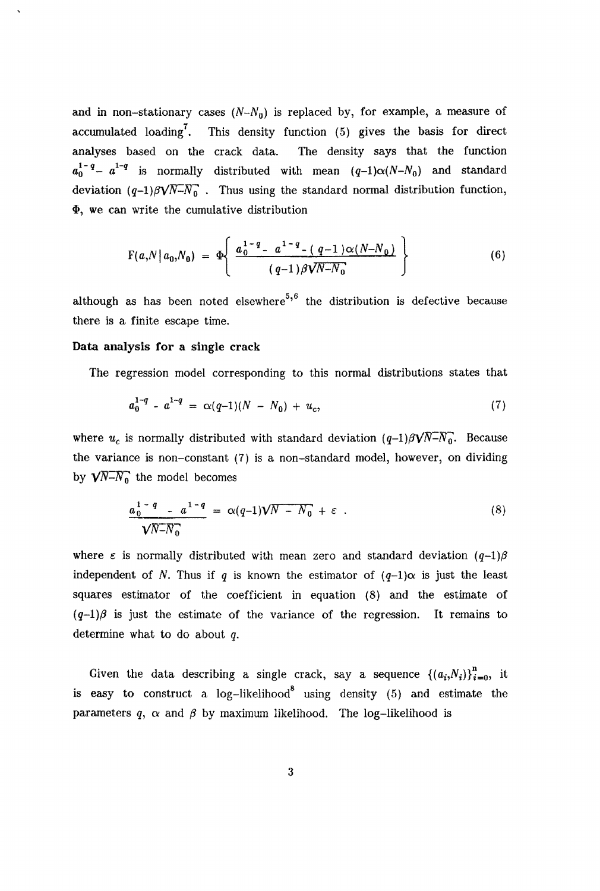and in non-stationary cases  $(N-N_0)$  is replaced by, for example, a measure of accumulated loading<sup>7</sup>. This density function  $(5)$  gives the basis for direct analyses based on the crack data. The density says that the function  $a_0^{1-q}-a^{1-q}$  is normally distributed with mean  $(q-1)\alpha(N-N_0)$  and standard deviation  $(q-1)\beta\sqrt{N-N_0}$ . Thus using the standard normal distribution function,  $\Phi$ , we can write the cumulative distribution

$$
F(a,N|a_0,N_0) = \Phi\left\{\frac{a_0^{1-q} - a^{1-q} - (q-1)\alpha(N-N_0)}{(q-1)\beta\sqrt{N-N_0}}\right\}
$$
(6)

although as has been noted elsewhere<sup>5,6</sup> the distribution is defective because there is a finite escape time.

## Data analysis for a single crack

The regression model corresponding to this normal distributions states that

$$
a_0^{1-q} - a^{1-q} = \alpha(q-1)(N - N_0) + u_c,
$$
\n(7)

where  $u_c$  is normally distributed with standard deviation  $(q-1)\beta\sqrt{N-N_0}$ . Because the variance is non-constant (7) is a non-standard model, however, on dividing by  $\sqrt{N-N_0}$  the model becomes

$$
\frac{a_0^{1-q} - a^{1-q}}{\sqrt{N-N_0}} = \alpha(q-1)\sqrt{N-N_0} + \varepsilon \tag{8}
$$

where  $\varepsilon$  is normally distributed with mean zero and standard deviation  $(q-1)\beta$ independent of N. Thus if q is known the estimator of  $(q-1)\alpha$  is just the least squares estimator of the coefficient in equation (8) and the estimate of  $(q-1)\beta$  is just the estimate of the variance of the regression. It remains to determine what to do about *q.* 

Given the data describing a single crack, say a sequence  $\{(a_i,N_i)\}_{i=0}^n$ , it is easy to construct a  $log-likelihood^8$  using density (5) and estimate the parameters  $q$ ,  $\alpha$  and  $\beta$  by maximum likelihood. The log-likelihood is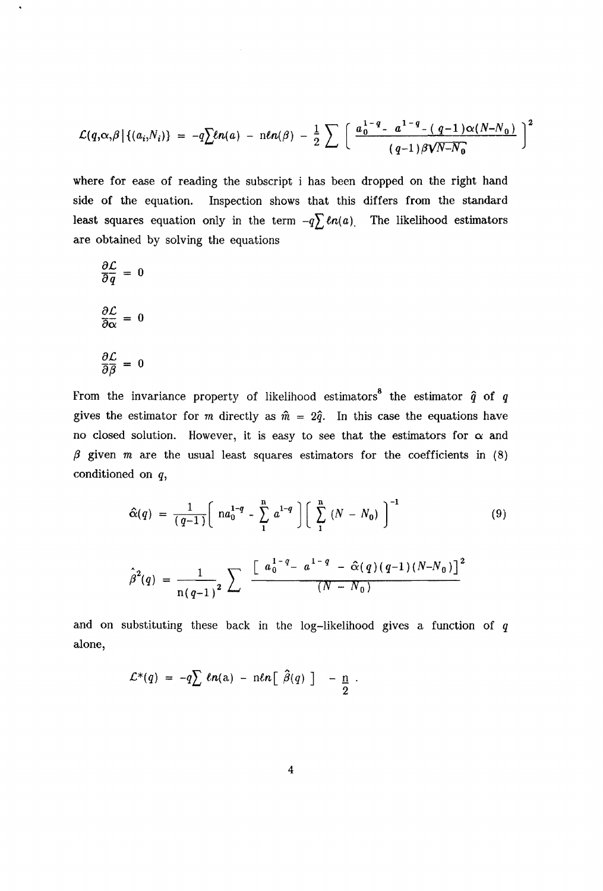$$
\mathcal{L}(q,\alpha,\beta | \{(a_i,N_i)\} = -q \sum \ln(a) - \ln(n/\beta) - \frac{1}{2} \sum \left[ \frac{a_0^{1-q} - a^{1-q} - (q-1)\alpha(N-N_0)}{(q-1)\beta\sqrt{N-N_0}} \right]^2
$$

where for ease of reading the subscript i has been dropped on the right hand side of the equation. Inspection shows that this differs from the standard least squares equation only in the term  $-q\sum \ln(a)$ . The likelihood estimators are obtained by solving the equations

$$
\frac{\partial \mathcal{L}}{\partial \overline{q}} = 0
$$

$$
\frac{\partial \mathcal{L}}{\partial \alpha} = 0
$$

$$
\frac{\partial \mathcal{L}}{\partial \overline{\beta}} = 0
$$

From the invariance property of likelihood estimators<sup>8</sup> the estimator  $\hat{q}$  of *q* gives the estimator for m directly as  $\hat{m} = 2\hat{q}$ . In this case the equations have no closed solution. However, it is easy to see that the estimators for  $\alpha$  and  $\beta$  given m are the usual least squares estimators for the coefficients in (8) conditioned on *q,* 

$$
\hat{\alpha}(q) = \frac{1}{(q-1)} \left[ n a_0^{1-q} - \sum_{1}^{n} a^{1-q} \right] \left[ \sum_{1}^{n} (N - N_0) \right]^{-1}
$$
(9)  

$$
\hat{\beta}^2(q) = \frac{1}{n(q-1)^2} \sum_{n} \frac{\left[ a_0^{1-q} - a^{1-q} - \hat{\alpha}(q) (q-1) (N - N_0) \right]^2}{(N - N_0)}
$$

and on substituting these back in the log-likelihood gives a function of *q*  alone,

$$
\mathcal{L}^*(q) = -q \sum \ell n(a) - n \ell n \left[ \widehat{\beta}(q) \right] - \frac{n}{2}.
$$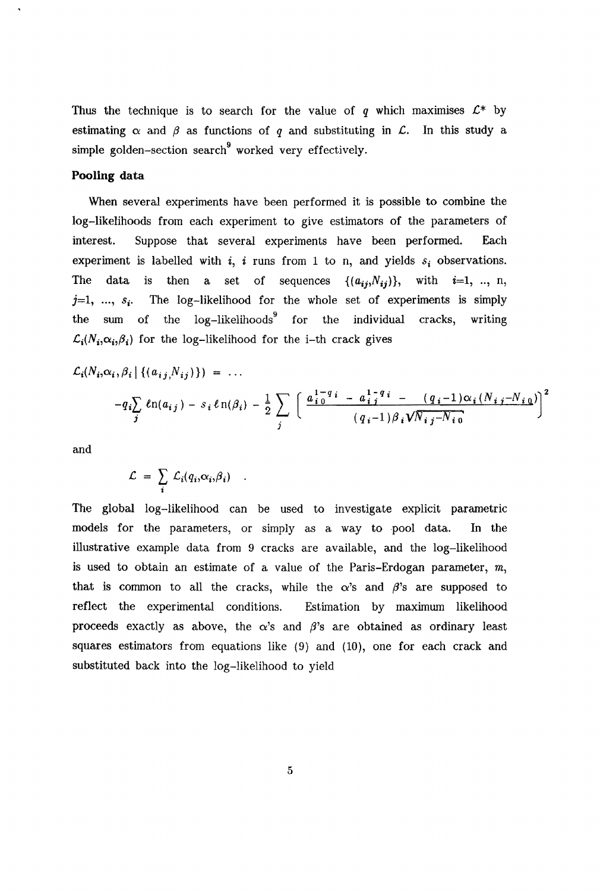Thus the technique is to search for the value of  $q$  which maximises  $\mathcal{L}^*$  by estimating  $\alpha$  and  $\beta$  as functions of q and substituting in  $\mathcal{L}$ . In this study a simple golden-section search  $\omega$  worked very effectively.

# **Pooling data**

When several experiments have been performed it is possible to combine the log-likelihoods from each experiment to give estimators of the parameters of interest. Suppose that several experiments have been performed. Each experiment is labelled with  $i$ ,  $i$  runs from 1 to n, and yields  $s_i$  observations. is then a set of sequences  $\{(a_{ij},N_{ij})\}$ , with  $i=1, ..., n$ , The data The log-likelihood for the whole set of experiments is simply  $j=1, \ldots, s_i$ . the  $log-likelihoods^9$  for the individual cracks, writing the sum  $\mathcal{L}_i(N_i,\alpha_i,\beta_i)$  for the log-likelihood for the i-th crack gives

$$
\mathcal{L}_{i}(N_{i},\alpha_{i},\beta_{i} | \{(a_{ij},N_{ij})\}) = ...
$$
  
- $q_{i}\sum_{j} \ln(a_{ij}) - s_{i} \ln(\beta_{i}) - \frac{1}{2} \sum_{j} \left[ \frac{a_{i}^{1-q}i - a_{ij}^{1-q}i - (q_{i}-1)\alpha_{i}(N_{i,j}-N_{i,0})}{(q_{i}-1)\beta_{i} \sqrt{N_{i,j}-N_{i,0}}} \right]^{2}$ 

and

$$
\mathcal{L} = \sum_i \mathcal{L}_i(q_i, \alpha_i, \beta_i)
$$

The global log-likelihood can be used to investigate explicit parametric models for the parameters, or simply as a way to -pool data. In the illustrative example data from 9 cracks are available, and the log-likelihood is used to obtain an estimate of a value of the Paris-Erdogan parameter, *m,*  that is common to all the cracks, while the  $\alpha$ 's and  $\beta$ 's are supposed to reflect the experimental conditions. Estimation by maximum likelihood proceeds exactly as above, the  $\alpha$ 's and  $\beta$ 's are obtained as ordinary least squares estimators from equations like (9) and (10), one for each crack and substituted back into the log-likelihood to yield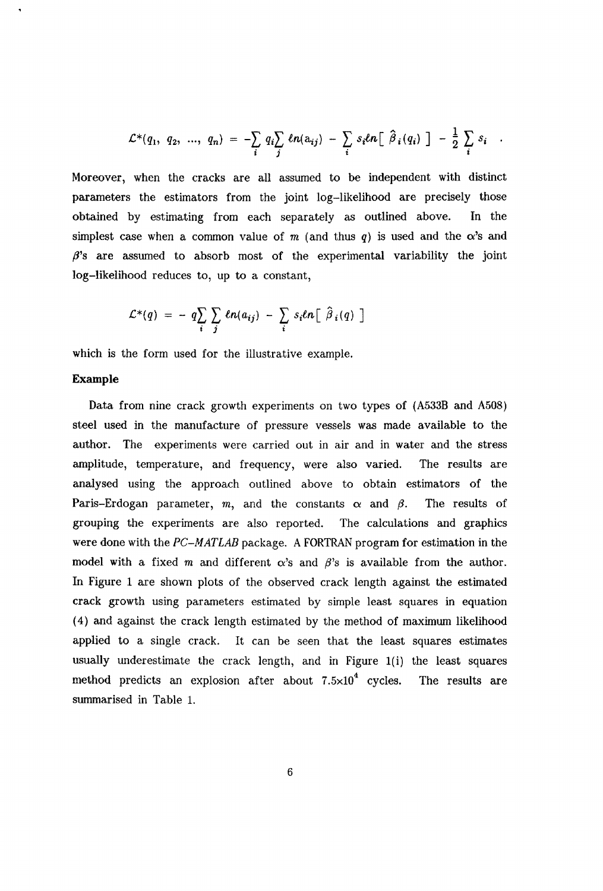$$
\mathcal{L}^*(q_1, q_2, ..., q_n) = -\sum_i q_i \sum_j \ln(a_{ij}) - \sum_i s_i \ln[\hat{\beta}_i(q_i)] - \frac{1}{2} \sum_i s_i.
$$

Moreover, when the cracks are all assumed to be independent with distinct parameters the estimators from the joint log-likelihood are precisely those obtained by estimating from each separately as outlined above. In the simplest case when a common value of  $m$  (and thus  $q$ ) is used and the  $\alpha$ 's and  $\beta$ 's are assumed to absorb most of the experimental variability the joint log-likelihood reduces to, up to a constant,

$$
\mathcal{L}^*(q) = - q \sum_i \sum_j \ln(a_{ij}) - \sum_i s_i \ln[\hat{\beta}_i(q)]
$$

which is the form used for the illustrative example.

# **Example**

Data from nine crack growth experiments on two types of (A533B and A508) steel used in the manufacture of pressure vessels was made available to the author. The experiments were carried out in air and in water and the stress amplitude, temperature, and frequency, were also varied. The results are analysed using the approach outlined above to obtain estimators of the Paris-Erdogan parameter,  $m$ , and the constants  $\alpha$  and  $\beta$ . The results of grouping the experiments are also reported. The calculations and graphics were done with the PC-MATLAB package. A FORTRAN program for estimation in the model with a fixed m and different  $\alpha$ 's and  $\beta$ 's is available from the author. In Figure 1 are shown plots of the observed crack length against the estimated crack growth using parameters estimated by simple least squares in equation ( 4) and against the crack length estimated by the method of maximum likelihood applied to a single crack. It can be seen that the least squares estimates usually underestimate the crack length, and in Figure l(i) the least squares method predicts an explosion after about  $7.5 \times 10^4$  cycles. The results are summarised in Table 1.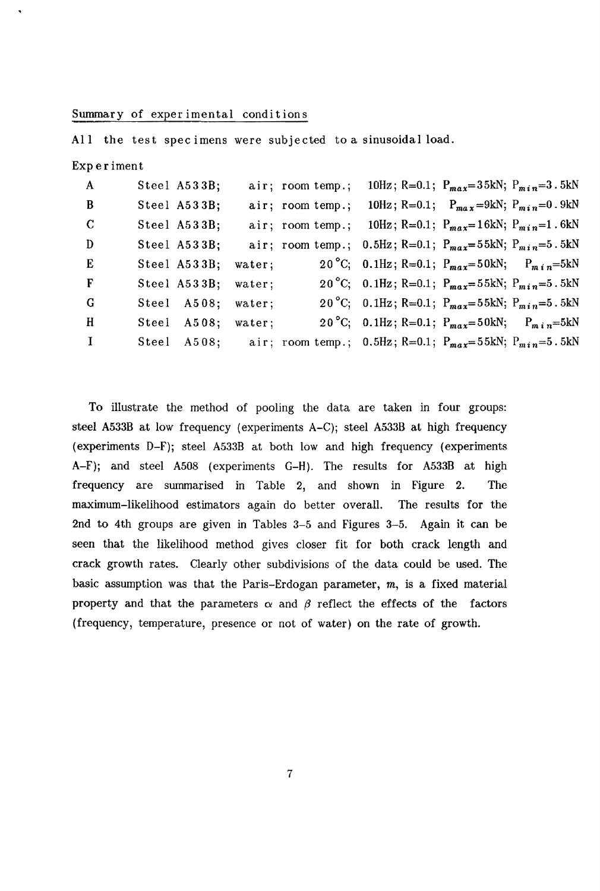#### Summary of experimental conditions

All the test spec imens were subjected to a sinusoidal load.

| Experiment   |                    |        |                  |                                                                           |  |
|--------------|--------------------|--------|------------------|---------------------------------------------------------------------------|--|
| $\mathbf{A}$ | Steel A533B;       |        | air; room temp.; | 10Hz; R=0.1; $P_{max} = 35kN$ ; $P_{min} = 3.5kN$                         |  |
| B            | Steel A533B;       |        | air; room temp.; | 10Hz; R=0.1; $P_{max}$ =9kN; $P_{min}$ =0.9kN                             |  |
| $\mathbf C$  | Steel A533B;       |        | air; room temp.; | 10Hz; R=0.1; $P_{max} = 16kN$ ; $P_{min} = 1.6kN$                         |  |
| D            | Steel A533B;       |        |                  | air; room temp.; 0.5Hz; R=0.1; $P_{max} = 55$ kN; $P_{min} = 5.5$ kN      |  |
| E            | Steel A533B;       | water: |                  | 20 °C; 0.1Hz; R=0.1; $P_{max} = 50 \text{kN}$ ; $P_{min} = 5 \text{kN}$   |  |
| F            | Steel A533B;       | water: |                  | 20 °C; 0.1Hz; R=0.1; $P_{max} = 55 \text{kN}$ ; $P_{min} = 5.5 \text{kN}$ |  |
| G            | Steel A508;        | water; |                  | 20 °C; 0.1Hz; R=0.1; P <sub>max</sub> =55kN; P <sub>min</sub> =5.5kN      |  |
| $\bf{H}$     | Steel A508; water; |        |                  | 20 °C; 0.1Hz; R=0.1; $P_{max} = 50$ kN; $P_{min} = 5$ kN                  |  |

I Steel A508; air; room temp.; 0.5Hz; R=0.1;  $P_{max} = 55kN$ ;  $P_{min} = 5.5kN$ 

To illustrate the method of pooling the data are taken in four groups: steel A533B at low frequency (experiments A-C); steel A533B at high frequency (experiments D-F); steel A533B at both low and high frequency (experiments A-F); and steel A508 (experiments G-H). The results for A533B at high frequency are summarised in Table 2, and shown in Figure 2. The maximum-likelihood estimators again do better overall. The results for the 2nd to 4th groups are given in Tables 3-5 and Figures 3-5. Again it can be seen that the likelihood method gives closer fit for both crack length and crack growth rates. Clearly other subdivisions of the data could be used. The basic assumption was that the Paris-Erdogan parameter, *m,* is a fixed material property and that the parameters  $\alpha$  and  $\beta$  reflect the effects of the factors (frequency, temperature, presence or not of water) on the rate of growth.

7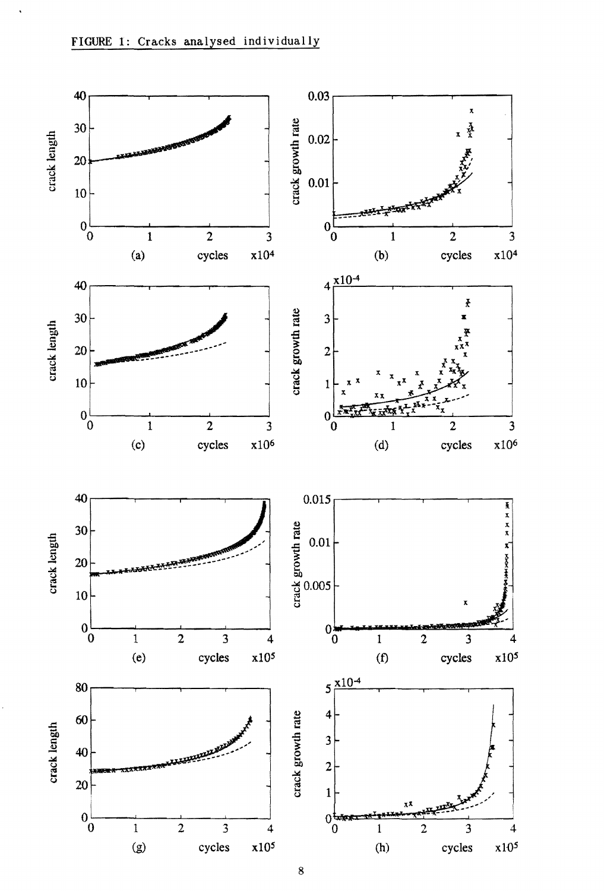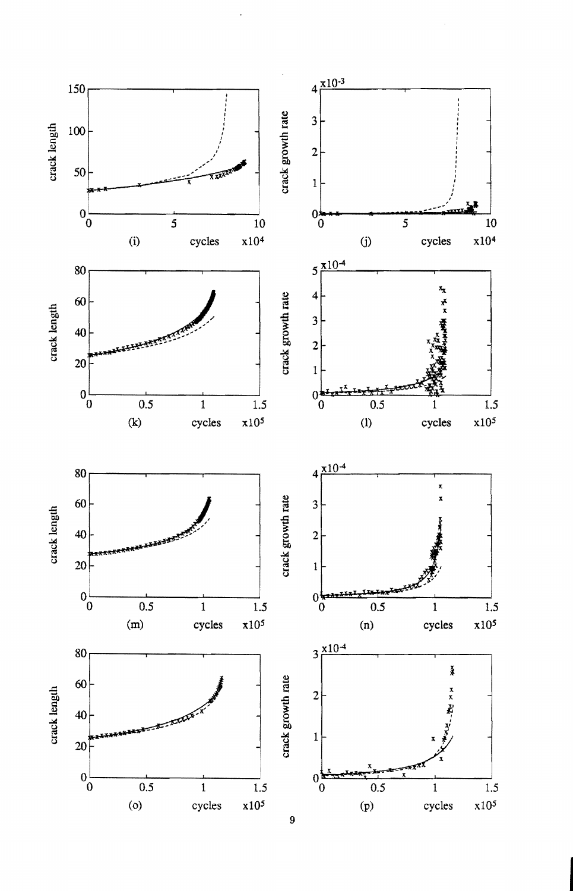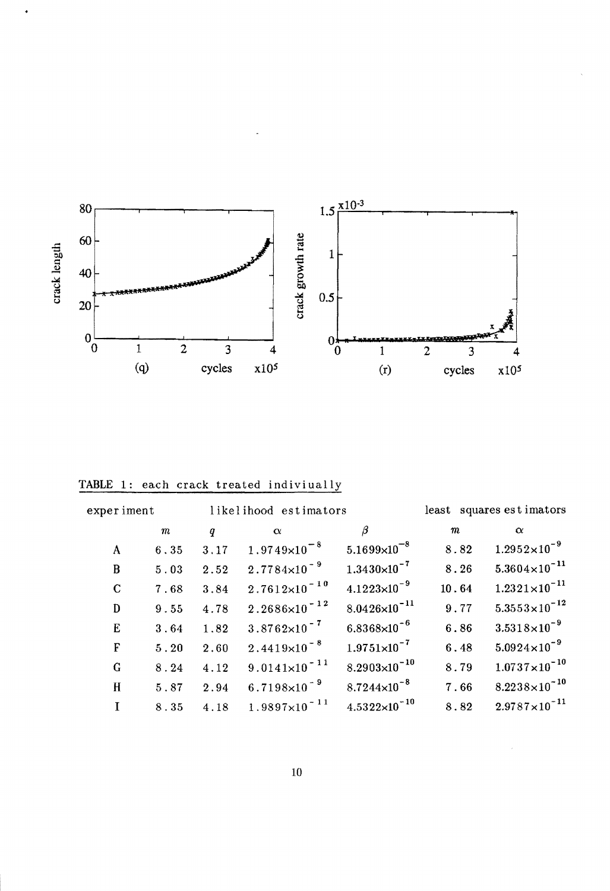

TABLE 1: each crack treated indiviually

 $\ddot{\phantom{1}}$ 

| experiment   |         |      | likelihood estimators    |                         |                  | least squares estimators |
|--------------|---------|------|--------------------------|-------------------------|------------------|--------------------------|
|              | $\it m$ | q    | $\alpha$                 | β                       | $\boldsymbol{m}$ | $\alpha$                 |
| A            | 6.35    | 3.17 | $1.9749\times10^{-8}$    | $5.1699\times10^{-8}$   | 8.82             | $1.2952\times10^{-9}$    |
| B            | 5.03    | 2.52 | $2.7784\times10^{-9}$    | $1.3430\times10^{-7}$   | 8.26             | $5.3604\times10^{-11}$   |
| $\mathbf C$  | 7.68    | 3.84 | $2.7612\times10^{-10}$   | $4.1223\times10^{-9}$   | 10.64            | $1.2321\times10^{-11}$   |
| D            | 9.55    | 4.78 | $2.2686 \times 10^{-12}$ | $8.0426\times10^{-11}$  | 9.77             | $5.3553\times10^{-12}$   |
| E            | 3.64    | 1.82 | $3.8762\times10^{-7}$    | $6.8368\times10^{-6}$   | 6.86             | $3.5318\times10^{-9}$    |
| F            | 5.20    | 2.60 | $2.4419\times10^{-8}$    | $1.9751\times10^{-7}$   | 6.48             | $5.0924 \times 10^{-9}$  |
| G            | 8.24    | 4.12 | $9.0141 \times 10^{-11}$ | $8.2903\times10^{-10}$  | 8.79             | $1.0737\times10^{-10}$   |
| $\mathbf{H}$ | 5.87    | 2.94 | $6.7198\times10^{-9}$    | $8.7244 \times 10^{-8}$ | 7.66             | $8.2238\times10^{-10}$   |
| I            | 8.35    | 4.18 | $1.9897 \times 10^{-11}$ | $4.5322\times10^{-10}$  | 8.82             | $2.9787\times10^{-11}$   |

 $\epsilon$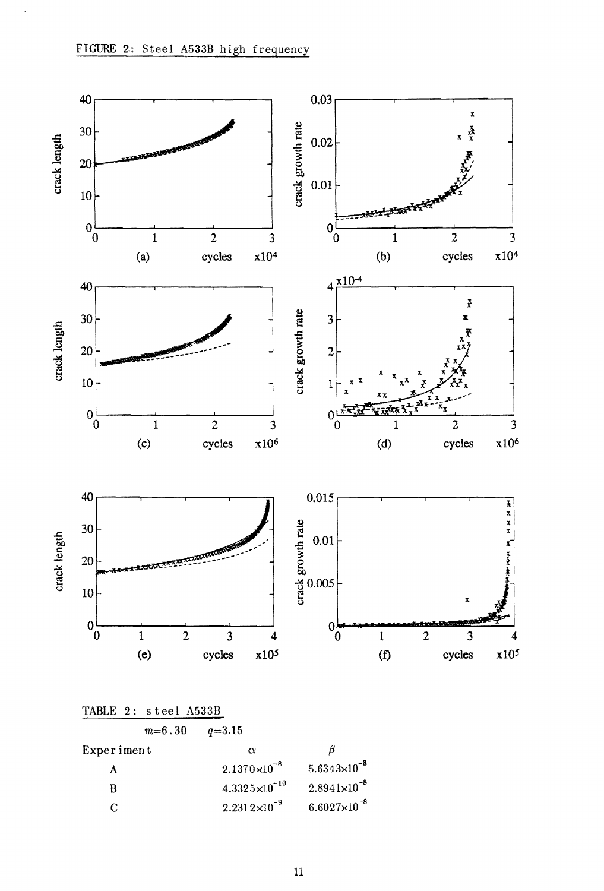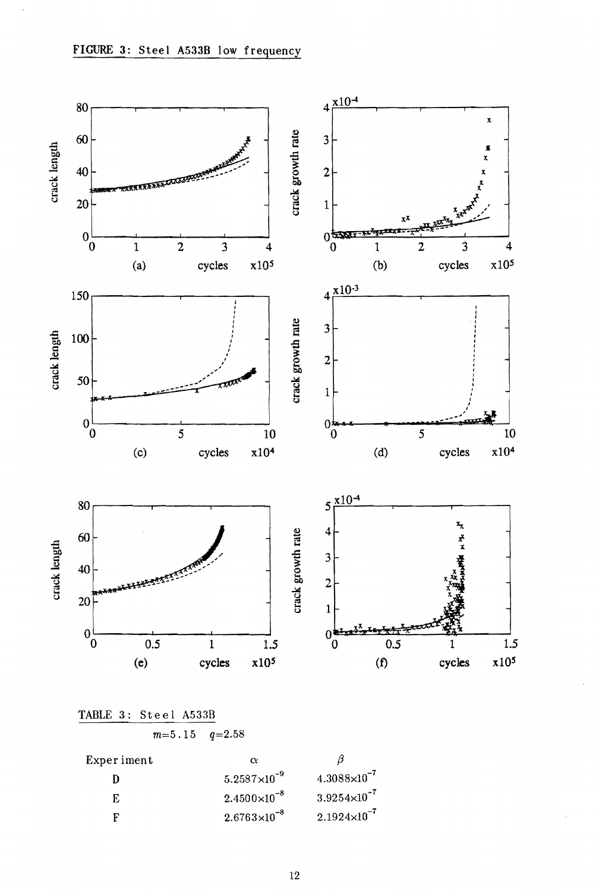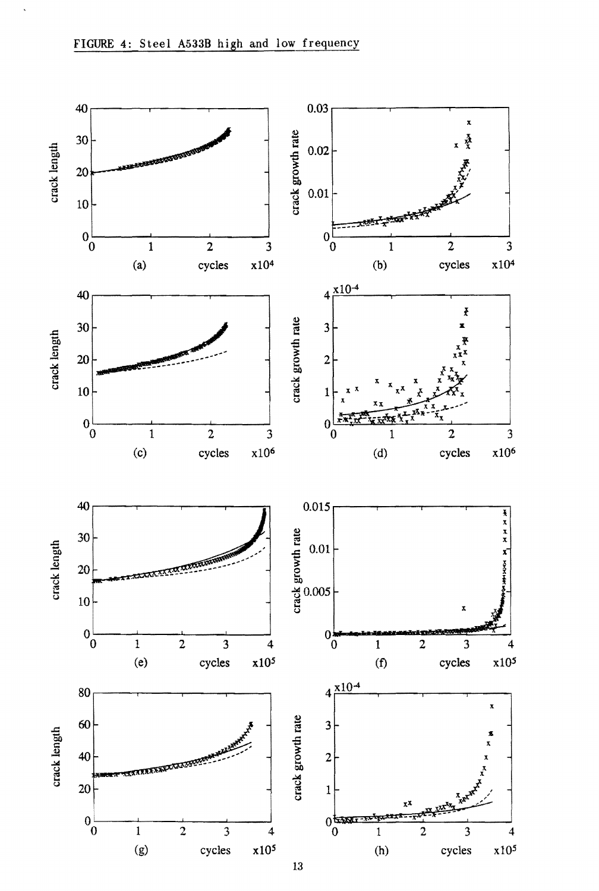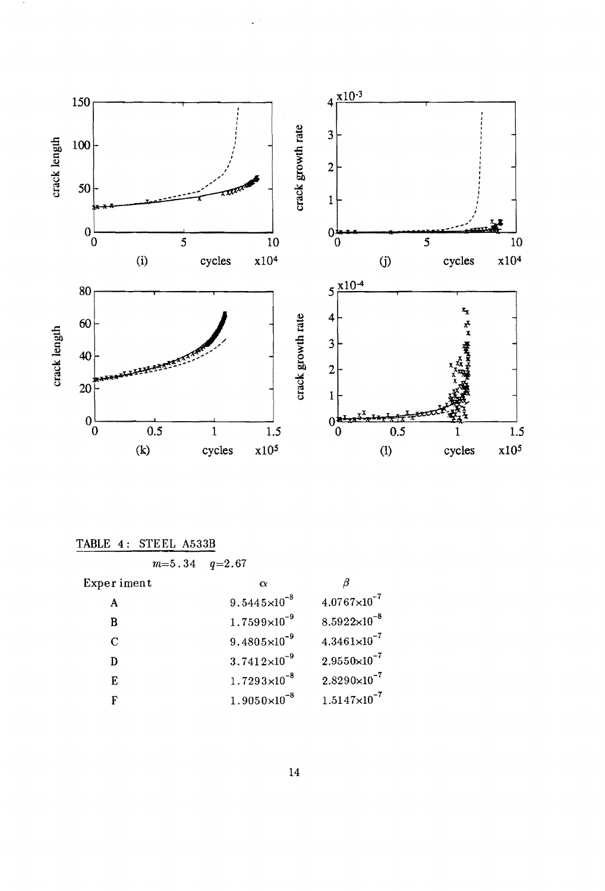

| TABLE 4: STEEL A533B |                         |                       |
|----------------------|-------------------------|-----------------------|
| $m = 5.34$           | $q = 2.67$              |                       |
| Experiment           | $\alpha$                | B                     |
| A                    | $9.5445\times10^{-8}$   | $4.0767\times10^{-7}$ |
| B                    | $1.7599\times10^{-9}$   | $8.5922\times10^{-8}$ |
| C                    | $9.4805\times10^{-9}$   | $4.3461\times10^{-7}$ |
| D                    | $3.7412\times10^{-9}$   | $2.9550\times10^{-7}$ |
| E                    | $1.7293 \times 10^{-8}$ | $2.8290\times10^{-7}$ |
| F                    | $1.9050\times10^{-8}$   | $1.5147\times10^{-7}$ |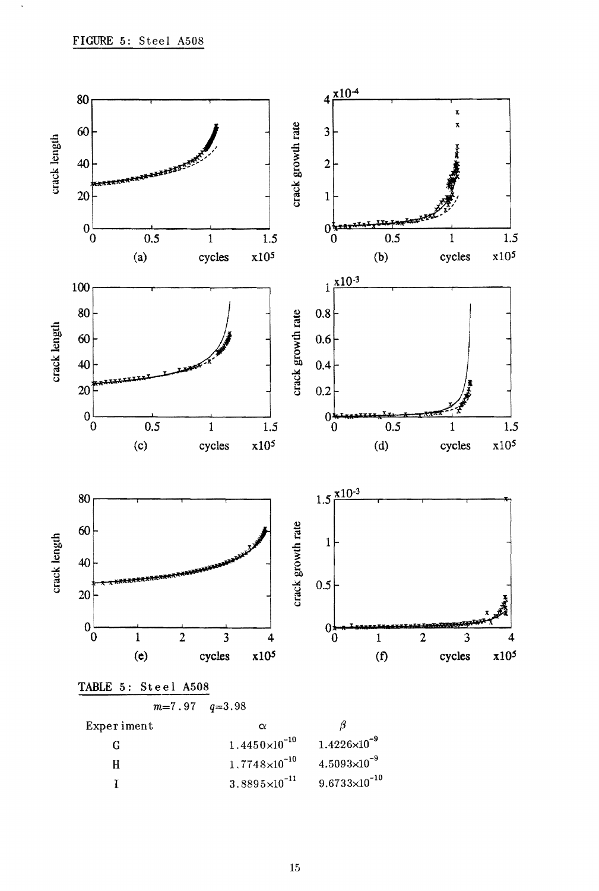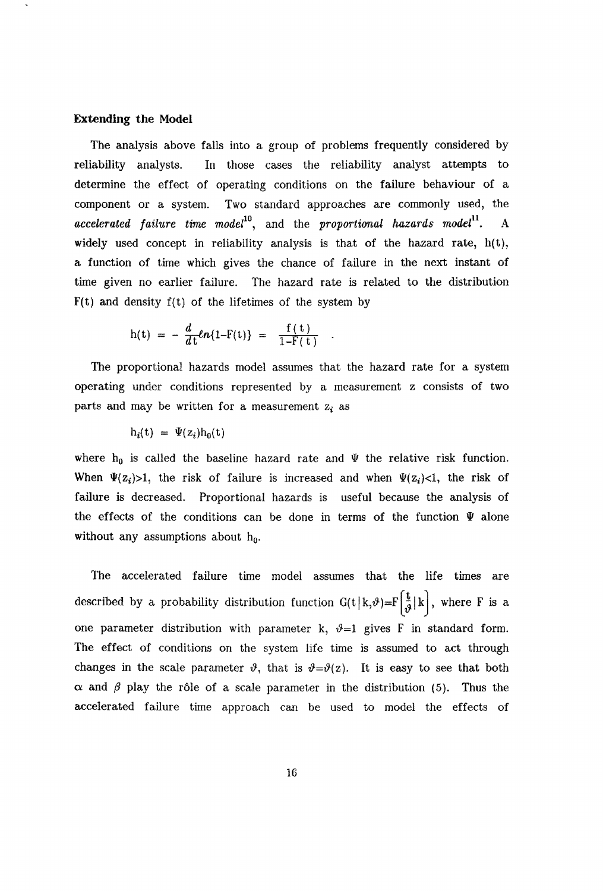#### **Extending the Model**

The analysis above falls into a group of problems frequently considered by reliability analysts. In those cases the reliability analyst attempts to determine the effect of operating conditions on the failure behaviour of a component or a system. Two standard approaches are commonly used, the accelerated failure time model<sup>10</sup>, and the proportional hazards model<sup>11</sup>. *•* A widely used concept in reliability analysis is that of the hazard rate, h(t), a function of time which gives the chance of failure in the next instant of time given no earlier failure. The hazard rate is related to the distribution  $F(t)$  and density  $f(t)$  of the lifetimes of the system by

$$
h(t) = -\frac{d}{dt}ln\{1-F(t)\} = \frac{f(t)}{1-F(t)}
$$

The proportional hazards model assumes that the hazard rate for a system operating under conditions represented by a measurement z consists of two parts and may be written for a measurement  $z_i$  as

$$
h_i(t) = \Psi(z_i)h_0(t)
$$

where  $h_0$  is called the baseline hazard rate and  $\Psi$  the relative risk function. When  $\Psi(z_i) > 1$ , the risk of failure is increased and when  $\Psi(z_i) < 1$ , the risk of failure is decreased. Proportional hazards is useful because the analysis of the effects of the conditions can be done in terms of the function  $\Psi$  alone without any assumptions about  $h_0$ .

The accelerated failure time model assumes that the life times are described by a probability distribution function  $G(t|k,\vartheta)=F\left[\frac{t}{\vartheta}|k\right]$ , where F is a one parameter distribution with parameter k,  $\vartheta=1$  gives F in standard form. The effect of conditions on the system life time is assumed to act through changes in the scale parameter  $\vartheta$ , that is  $\vartheta = \vartheta(z)$ . It is easy to see that both  $\alpha$  and  $\beta$  play the rôle of a scale parameter in the distribution (5). Thus the accelerated failure time approach can be used to model the effects of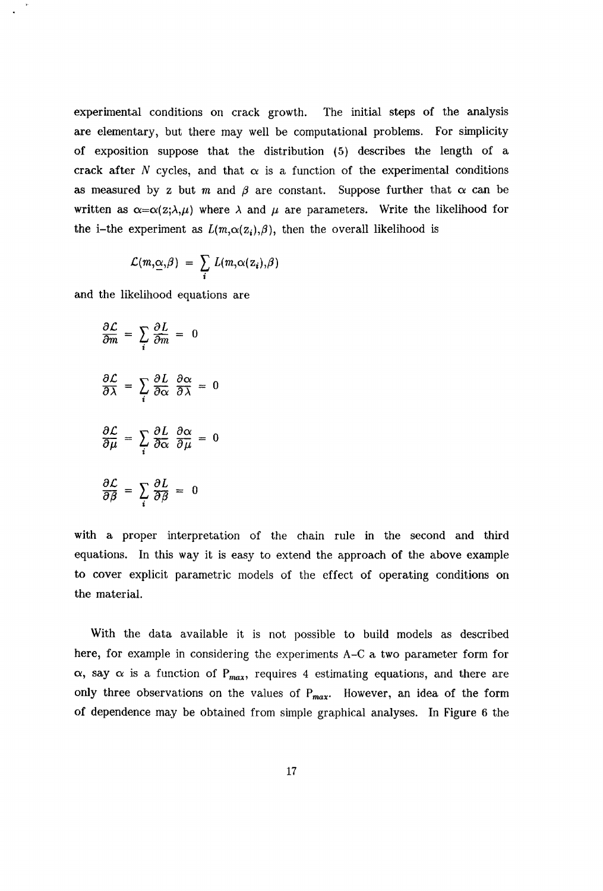experimental conditions on crack growth. The initial steps of the analysis are elementary, but there may well be computational problems. For simplicity of exposition suppose that the distribution (5) describes the length of a crack after *N* cycles, and that  $\alpha$  is a function of the experimental conditions as measured by z but m and  $\beta$  are constant. Suppose further that  $\alpha$  can be written as  $\alpha = \alpha(z; \lambda, \mu)$  where  $\lambda$  and  $\mu$  are parameters. Write the likelihood for the i-the experiment as  $L(m,\alpha(z_i),\beta)$ , then the overall likelihood is

$$
\mathcal{L}(m,\underline{\alpha},\beta) = \sum_i L(m,\alpha(z_i),\beta)
$$

and the likelihood equations are

$$
\frac{\partial \mathcal{L}}{\partial m} = \sum_{i} \frac{\partial L}{\partial m} = 0
$$

$$
\frac{\partial \mathcal{L}}{\partial \lambda} = \sum_{i} \frac{\partial L}{\partial \alpha} \frac{\partial \alpha}{\partial \lambda} = 0
$$

$$
\frac{\partial \mathcal{L}}{\partial \mu} = \sum_{i} \frac{\partial L}{\partial \alpha} \frac{\partial \alpha}{\partial \mu} = 0
$$

$$
\frac{\partial \mathcal{L}}{\partial \beta} = \sum_{i} \frac{\partial L}{\partial \beta} = 0
$$

with a proper interpretation of the chain rule in the second and third equations. In this way it is easy to extend the approach of the above example to cover explicit parametric models of the effect of operating conditions on the material.

With the data available it is not possible to build models as described here, for example in considering the experiments A-C a two parameter form for  $\alpha$ , say  $\alpha$  is a function of P<sub>max</sub>, requires 4 estimating equations, and there are only three observations on the values of  $P_{max}$ . However, an idea of the form of dependence may be obtained from simple graphical analyses. In Figure 6 the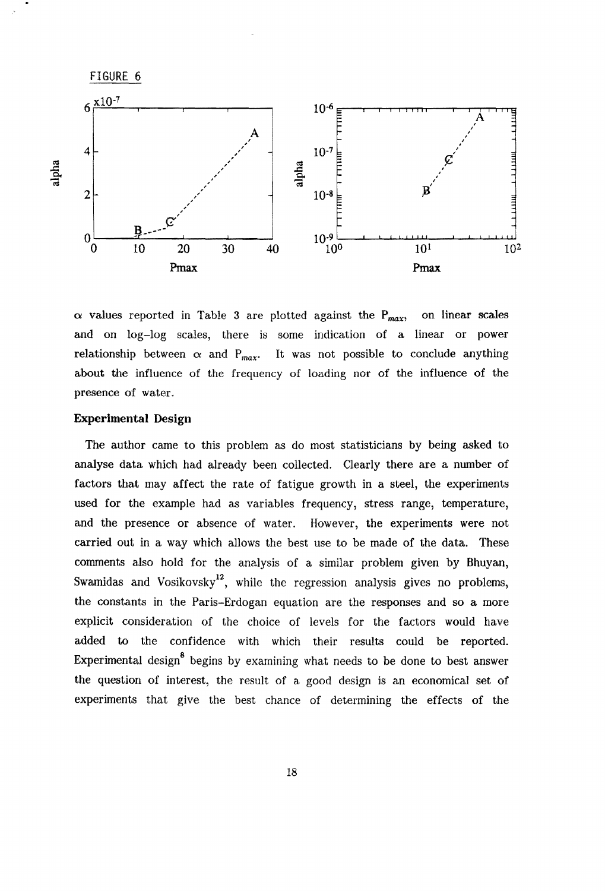![](_page_19_Figure_0.jpeg)

 $\alpha$  values reported in Table 3 are plotted against the P<sub>max</sub>, on linear scales and on log-log scales, there is some indication of a linear or power relationship between  $\alpha$  and  $P_{max}$ . It was not possible to conclude anything about the influence of the frequency of loading nor of the influence of the presence of water.

#### **Experimental** Design

The author came to this problem as do most statisticians by being asked to analyse data which had already been collected. Clearly there are a number of factors that may affect the rate of fatigue growth in a steel, the experiments used for the example had as variables frequency, stress range, temperature, and the presence or absence of water. However, the experiments were not carried out in a way which allows the best use to be made of the data. These comments also hold for the analysis of a similar problem given by Bhuyan, Swamidas and Vosikovsky<sup>12</sup>, while the regression analysis gives no problems, the constants in the Paris-Erdogan equation are the responses and so a more explicit consideration of the choice of levels for the factors would have added to the confidence with which their results could be reported. Experimental design<sup>8</sup> begins by examining what needs to be done to best answer the question of interest, the result of a good design is an economical set of experiments that give the best chance of determining the effects of the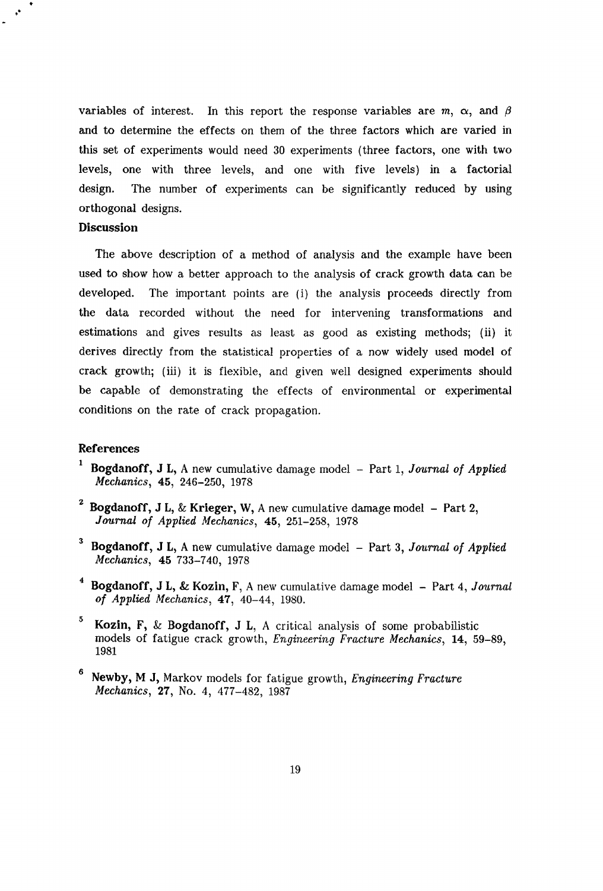variables of interest. In this report the response variables are  $m$ ,  $\alpha$ , and  $\beta$ and to determine the effects on them of the three factors which are varied in this set of experiments would need 30 experiments (three factors, one with two levels, one with three levels, and one with five levels) in a factorial design. The number of experiments can be significantly reduced by using orthogonal designs.

## **Discussion**

••

The above description of a method of analysis and the example have been used to show how a better approach to the analysis of crack growth data can be developed. The important points are (i) the analysis proceeds directly from the data recorded without the need for intervening transformations and estimations and gives results as least as good as existing methods; (ii) it derives directly from the statistical properties of a now widely used model of crack growthj (iii) it is flexible, and given well designed experiments should be capable of demonstrating the effects of environmental or experimental conditions on the rate of crack propagation.

# References

- 1 Bogdanoff, J L, A new cumulative damage model Part 1, *Journal of Applied Mechanics,* 45, 246-250, 1978
- <sup>2</sup> Bogdanoff, J L, & Krieger, W, A new cumulative damage model Part 2, *Journal of Applied Mechanics,* 45, 251-258, 1978
- <sup>3</sup> Bogdanoff, J L, A new cumulative damage model Part 3, *Journal of Applied Mechanics,* 45 733-740, 1978
- <sup>4</sup> Bogdanoff, J L, & Kozin, F, A new cumulative damage model Part 4, *Journal of Applied Mechanics,* 47, 40-44, 1980.
- 5 Kozin, F, & Bogdanoff, J L, A critical analysis of some probabilistic models of fatigue crack growth, *Engineering Fracture Mechanics,* 14, 59-89, 1981
- 6 Newby, M J, Markov models for fatigue growth, *Engineering Fracture Mechanics*, 27, No. 4, 477-482, 1987